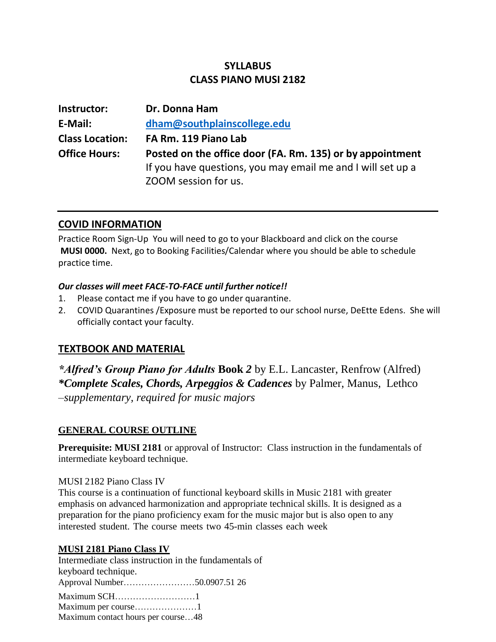# **SYLLABUS CLASS PIANO MUSI 2182**

| Instructor:            | Dr. Donna Ham                                                                                                            |  |  |
|------------------------|--------------------------------------------------------------------------------------------------------------------------|--|--|
| E-Mail:                | dham@southplainscollege.edu                                                                                              |  |  |
| <b>Class Location:</b> | FA Rm. 119 Piano Lab                                                                                                     |  |  |
| <b>Office Hours:</b>   | Posted on the office door (FA. Rm. 135) or by appointment<br>If you have questions, you may email me and I will set up a |  |  |
|                        | ZOOM session for us.                                                                                                     |  |  |

## **COVID INFORMATION**

Practice Room Sign-Up You will need to go to your Blackboard and click on the course **MUSI 0000.** Next, go to Booking Facilities/Calendar where you should be able to schedule practice time.

#### *Our classes will meet FACE-TO-FACE until further notice!!*

- 1. Please contact me if you have to go under quarantine.
- 2. COVID Quarantines /Exposure must be reported to our school nurse, DeEtte Edens. She will officially contact your faculty.

# **TEXTBOOK AND MATERIAL**

*\*Alfred's Group Piano for Adults* **Book** *2* by E.L. Lancaster, Renfrow (Alfred) *\*Complete Scales, Chords, Arpeggios & Cadences* by Palmer, Manus, Lethco –*supplementary, required for music majors*

## **GENERAL COURSE OUTLINE**

**Prerequisite: MUSI 2181** or approval of Instructor: Class instruction in the fundamentals of intermediate keyboard technique.

## MUSI 2182 Piano Class IV

This course is a continuation of functional keyboard skills in Music 2181 with greater emphasis on advanced harmonization and appropriate technical skills. It is designed as a preparation for the piano proficiency exam for the music major but is also open to any interested student. The course meets two 45-min classes each week

## **MUSI 2181 Piano Class IV**

Intermediate class instruction in the fundamentals of keyboard technique. Approval Number……………………50.0907.51 26 Maximum SCH………………………1 Maximum per course…………………1 Maximum contact hours per course…48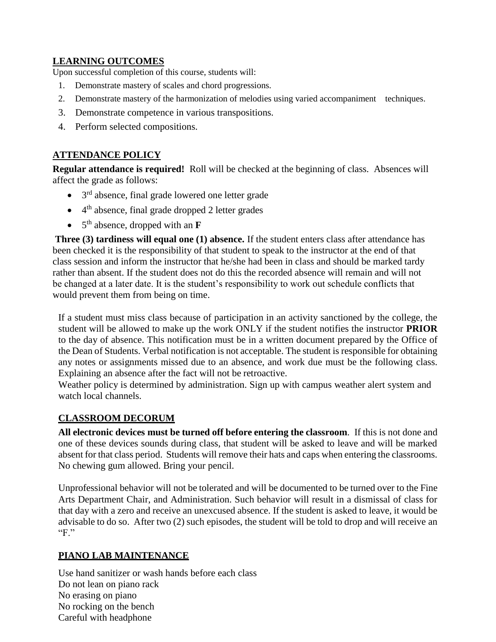## **LEARNING OUTCOMES**

Upon successful completion of this course, students will:

- 1. Demonstrate mastery of scales and chord progressions.
- 2. Demonstrate mastery of the harmonization of melodies using varied accompaniment techniques.
- 3. Demonstrate competence in various transpositions.
- 4. Perform selected compositions.

## **ATTENDANCE POLICY**

**Regular attendance is required!** Roll will be checked at the beginning of class. Absences will affect the grade as follows:

- $\bullet$  3<sup>rd</sup> absence, final grade lowered one letter grade
- $\bullet$  4<sup>th</sup> absence, final grade dropped 2 letter grades
- 5<sup>th</sup> absence, dropped with an **F**

**Three (3) tardiness will equal one (1) absence.** If the student enters class after attendance has been checked it is the responsibility of that student to speak to the instructor at the end of that class session and inform the instructor that he/she had been in class and should be marked tardy rather than absent. If the student does not do this the recorded absence will remain and will not be changed at a later date. It is the student's responsibility to work out schedule conflicts that would prevent them from being on time.

If a student must miss class because of participation in an activity sanctioned by the college, the student will be allowed to make up the work ONLY if the student notifies the instructor **PRIOR**  to the day of absence. This notification must be in a written document prepared by the Office of the Dean of Students. Verbal notification is not acceptable. The student is responsible for obtaining any notes or assignments missed due to an absence, and work due must be the following class. Explaining an absence after the fact will not be retroactive.

Weather policy is determined by administration. Sign up with campus weather alert system and watch local channels.

## **CLASSROOM DECORUM**

**All electronic devices must be turned off before entering the classroom**. If this is not done and one of these devices sounds during class, that student will be asked to leave and will be marked absent for that class period. Students will remove their hats and caps when entering the classrooms. No chewing gum allowed. Bring your pencil.

Unprofessional behavior will not be tolerated and will be documented to be turned over to the Fine Arts Department Chair, and Administration. Such behavior will result in a dismissal of class for that day with a zero and receive an unexcused absence. If the student is asked to leave, it would be advisable to do so. After two (2) such episodes, the student will be told to drop and will receive an "F."

## **PIANO LAB MAINTENANCE**

Use hand sanitizer or wash hands before each class Do not lean on piano rack No erasing on piano No rocking on the bench Careful with headphone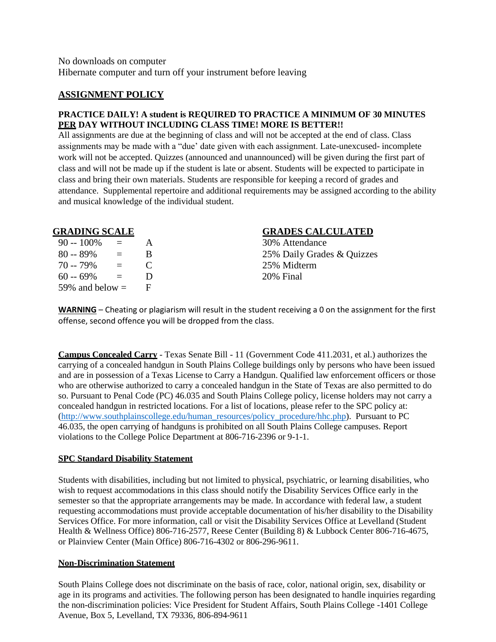#### **ASSIGNMENT POLICY**

#### **PRACTICE DAILY! A student is REQUIRED TO PRACTICE A MINIMUM OF 30 MINUTES PER DAY WITHOUT INCLUDING CLASS TIME! MORE IS BETTER!!**

All assignments are due at the beginning of class and will not be accepted at the end of class. Class assignments may be made with a "due' date given with each assignment. Late-unexcused- incomplete work will not be accepted. Quizzes (announced and unannounced) will be given during the first part of class and will not be made up if the student is late or absent. Students will be expected to participate in class and bring their own materials. Students are responsible for keeping a record of grades and attendance. Supplemental repertoire and additional requirements may be assigned according to the ability and musical knowledge of the individual student.

| $90 - 100\%$      | $\equiv$ | A            |
|-------------------|----------|--------------|
| $80 - 89\%$       | $\equiv$ | <sub>B</sub> |
| $70 - 79\%$       | $=$      | C            |
| $60 - 69\%$       | $=$      | D            |
| 59% and below $=$ |          | F            |

#### **GRADING SCALE GRADES CALCULATED**

30% Attendance 25% Daily Grades & Quizzes 25% Midterm 20% Final

**WARNING** – Cheating or plagiarism will result in the student receiving a 0 on the assignment for the first offense, second offence you will be dropped from the class.

**Campus Concealed Carry** - Texas Senate Bill - 11 (Government Code 411.2031, et al.) authorizes the carrying of a concealed handgun in South Plains College buildings only by persons who have been issued and are in possession of a Texas License to Carry a Handgun. Qualified law enforcement officers or those who are otherwise authorized to carry a concealed handgun in the State of Texas are also permitted to do so. Pursuant to Penal Code (PC) 46.035 and South Plains College policy, license holders may not carry a concealed handgun in restricted locations. For a list of locations, please refer to the SPC policy at: [\(http://www.southplainscollege.edu/human\\_resources/policy\\_procedure/hhc.php\)](http://www.southplainscollege.edu/human_resources/policy_procedure/hhc.php). Pursuant to PC 46.035, the open carrying of handguns is prohibited on all South Plains College campuses. Report violations to the College Police Department at 806-716-2396 or 9-1-1.

#### **SPC Standard Disability Statement**

Students with disabilities, including but not limited to physical, psychiatric, or learning disabilities, who wish to request accommodations in this class should notify the Disability Services Office early in the semester so that the appropriate arrangements may be made. In accordance with federal law, a student requesting accommodations must provide acceptable documentation of his/her disability to the Disability Services Office. For more information, call or visit the Disability Services Office at Levelland (Student Health & Wellness Office) 806-716-2577, Reese Center (Building 8) & Lubbock Center 806-716-4675, or Plainview Center (Main Office) 806-716-4302 or 806-296-9611.

#### **Non-Discrimination Statement**

South Plains College does not discriminate on the basis of race, color, national origin, sex, disability or age in its programs and activities. The following person has been designated to handle inquiries regarding the non-discrimination policies: Vice President for Student Affairs, South Plains College -1401 College Avenue, Box 5, Levelland, TX 79336, 806-894-9611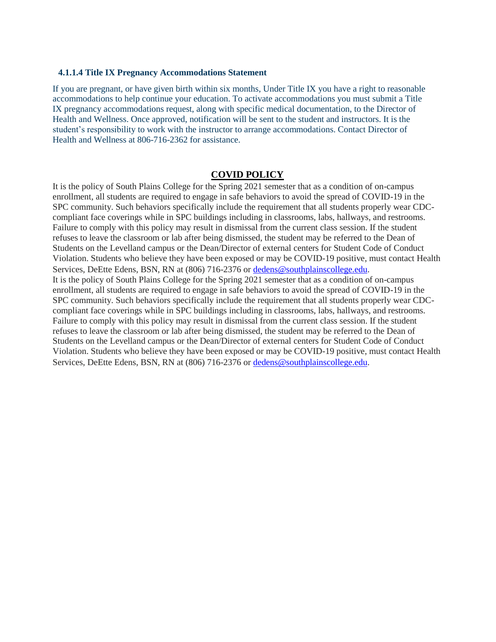#### **4.1.1.4 Title IX Pregnancy Accommodations Statement**

If you are pregnant, or have given birth within six months, Under Title IX you have a right to reasonable accommodations to help continue your education. To activate accommodations you must submit a Title IX pregnancy accommodations request, along with specific medical documentation, to the Director of Health and Wellness. Once approved, notification will be sent to the student and instructors. It is the student's responsibility to work with the instructor to arrange accommodations. Contact Director of Health and Wellness at 806-716-2362 for assistance.

#### **COVID POLICY**

It is the policy of South Plains College for the Spring 2021 semester that as a condition of on-campus enrollment, all students are required to engage in safe behaviors to avoid the spread of COVID-19 in the SPC community. Such behaviors specifically include the requirement that all students properly wear CDCcompliant face coverings while in SPC buildings including in classrooms, labs, hallways, and restrooms. Failure to comply with this policy may result in dismissal from the current class session. If the student refuses to leave the classroom or lab after being dismissed, the student may be referred to the Dean of Students on the Levelland campus or the Dean/Director of external centers for Student Code of Conduct Violation. Students who believe they have been exposed or may be COVID-19 positive, must contact Health Services, DeEtte Edens, BSN, RN at (806) 716-2376 or [dedens@southplainscollege.edu.](mailto:dedens@southplainscollege.edu) It is the policy of South Plains College for the Spring 2021 semester that as a condition of on-campus enrollment, all students are required to engage in safe behaviors to avoid the spread of COVID-19 in the SPC community. Such behaviors specifically include the requirement that all students properly wear CDCcompliant face coverings while in SPC buildings including in classrooms, labs, hallways, and restrooms. Failure to comply with this policy may result in dismissal from the current class session. If the student refuses to leave the classroom or lab after being dismissed, the student may be referred to the Dean of Students on the Levelland campus or the Dean/Director of external centers for Student Code of Conduct Violation. Students who believe they have been exposed or may be COVID-19 positive, must contact Health Services, DeEtte Edens, BSN, RN at (806) 716-2376 or [dedens@southplainscollege.edu.](mailto:dedens@southplainscollege.edu)